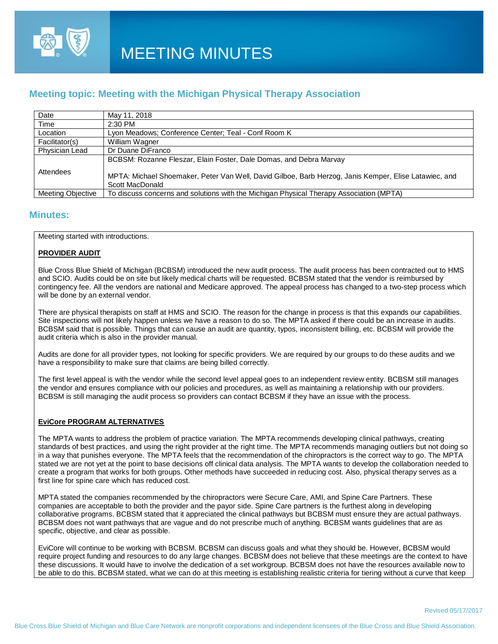

# **Meeting topic: Meeting with the Michigan Physical Therapy Association**

| Date                     | May 11, 2018                                                                                                             |
|--------------------------|--------------------------------------------------------------------------------------------------------------------------|
| Time                     | $2:30$ PM                                                                                                                |
| Location                 | Lyon Meadows: Conference Center: Teal - Conf Room K                                                                      |
| Facilitator(s)           | William Wagner                                                                                                           |
| Physician Lead           | Dr Duane DiFranco                                                                                                        |
|                          | BCBSM: Rozanne Fleszar, Elain Foster, Dale Domas, and Debra Marvay                                                       |
| Attendees                | MPTA: Michael Shoemaker, Peter Van Well, David Gilboe, Barb Herzog, Janis Kemper, Elise Latawiec, and<br>Scott MacDonald |
| <b>Meeting Objective</b> | To discuss concerns and solutions with the Michigan Physical Therapy Association (MPTA)                                  |

# **Minutes:**

Meeting started with introductions.

# **PROVIDER AUDIT**

Blue Cross Blue Shield of Michigan (BCBSM) introduced the new audit process. The audit process has been contracted out to HMS and SCIO. Audits could be on site but likely medical charts will be requested. BCBSM stated that the vendor is reimbursed by contingency fee. All the vendors are national and Medicare approved. The appeal process has changed to a two-step process which will be done by an external vendor.

There are physical therapists on staff at HMS and SCIO. The reason for the change in process is that this expands our capabilities. Site inspections will not likely happen unless we have a reason to do so. The MPTA asked if there could be an increase in audits. BCBSM said that is possible. Things that can cause an audit are quantity, typos, inconsistent billing, etc. BCBSM will provide the audit criteria which is also in the provider manual.

Audits are done for all provider types, not looking for specific providers. We are required by our groups to do these audits and we have a responsibility to make sure that claims are being billed correctly.

The first level appeal is with the vendor while the second level appeal goes to an independent review entity. BCBSM still manages the vendor and ensures compliance with our policies and procedures, as well as maintaining a relationship with our providers. BCBSM is still managing the audit process so providers can contact BCBSM if they have an issue with the process.

#### **EviCore PROGRAM ALTERNATIVES**

The MPTA wants to address the problem of practice variation. The MPTA recommends developing clinical pathways, creating standards of best practices, and using the right provider at the right time. The MPTA recommends managing outliers but not doing so in a way that punishes everyone. The MPTA feels that the recommendation of the chiropractors is the correct way to go. The MPTA stated we are not yet at the point to base decisions off clinical data analysis. The MPTA wants to develop the collaboration needed to create a program that works for both groups. Other methods have succeeded in reducing cost. Also, physical therapy serves as a first line for spine care which has reduced cost.

MPTA stated the companies recommended by the chiropractors were Secure Care, AMI, and Spine Care Partners. These companies are acceptable to both the provider and the payor side. Spine Care partners is the furthest along in developing collaborative programs. BCBSM stated that it appreciated the clinical pathways but BCBSM must ensure they are actual pathways. BCBSM does not want pathways that are vague and do not prescribe much of anything. BCBSM wants guidelines that are as specific, objective, and clear as possible.

EviCore will continue to be working with BCBSM. BCBSM can discuss goals and what they should be. However, BCBSM would require project funding and resources to do any large changes. BCBSM does not believe that these meetings are the context to have these discussions. It would have to involve the dedication of a set workgroup. BCBSM does not have the resources available now to be able to do this. BCBSM stated, what we can do at this meeting is establishing realistic criteria for tiering without a curve that keep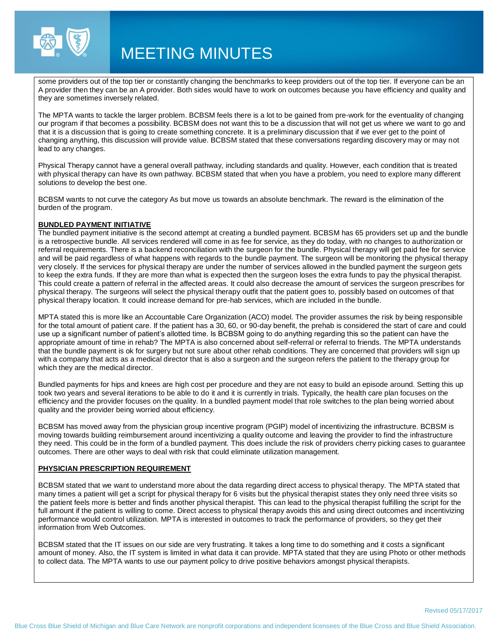

# MEETING MINUTES

some providers out of the top tier or constantly changing the benchmarks to keep providers out of the top tier. If everyone can be an A provider then they can be an A provider. Both sides would have to work on outcomes because you have efficiency and quality and they are sometimes inversely related.

The MPTA wants to tackle the larger problem. BCBSM feels there is a lot to be gained from pre-work for the eventuality of changing our program if that becomes a possibility. BCBSM does not want this to be a discussion that will not get us where we want to go and that it is a discussion that is going to create something concrete. It is a preliminary discussion that if we ever get to the point of changing anything, this discussion will provide value. BCBSM stated that these conversations regarding discovery may or may not lead to any changes.

Physical Therapy cannot have a general overall pathway, including standards and quality. However, each condition that is treated with physical therapy can have its own pathway. BCBSM stated that when you have a problem, you need to explore many different solutions to develop the best one.

BCBSM wants to not curve the category As but move us towards an absolute benchmark. The reward is the elimination of the burden of the program.

#### **BUNDLED PAYMENT INITIATIVE**

The bundled payment initiative is the second attempt at creating a bundled payment. BCBSM has 65 providers set up and the bundle is a retrospective bundle. All services rendered will come in as fee for service, as they do today, with no changes to authorization or referral requirements. There is a backend reconciliation with the surgeon for the bundle. Physical therapy will get paid fee for service and will be paid regardless of what happens with regards to the bundle payment. The surgeon will be monitoring the physical therapy very closely. If the services for physical therapy are under the number of services allowed in the bundled payment the surgeon gets to keep the extra funds. If they are more than what is expected then the surgeon loses the extra funds to pay the physical therapist. This could create a pattern of referral in the affected areas. It could also decrease the amount of services the surgeon prescribes for physical therapy. The surgeons will select the physical therapy outfit that the patient goes to, possibly based on outcomes of that physical therapy location. It could increase demand for pre-hab services, which are included in the bundle.

MPTA stated this is more like an Accountable Care Organization (ACO) model. The provider assumes the risk by being responsible for the total amount of patient care. If the patient has a 30, 60, or 90-day benefit, the prehab is considered the start of care and could use up a significant number of patient's allotted time. Is BCBSM going to do anything regarding this so the patient can have the appropriate amount of time in rehab? The MPTA is also concerned about self-referral or referral to friends. The MPTA understands that the bundle payment is ok for surgery but not sure about other rehab conditions. They are concerned that providers will sign up with a company that acts as a medical director that is also a surgeon and the surgeon refers the patient to the therapy group for which they are the medical director.

Bundled payments for hips and knees are high cost per procedure and they are not easy to build an episode around. Setting this up took two years and several iterations to be able to do it and it is currently in trials. Typically, the health care plan focuses on the efficiency and the provider focuses on the quality. In a bundled payment model that role switches to the plan being worried about quality and the provider being worried about efficiency.

BCBSM has moved away from the physician group incentive program (PGIP) model of incentivizing the infrastructure. BCBSM is moving towards building reimbursement around incentivizing a quality outcome and leaving the provider to find the infrastructure they need. This could be in the form of a bundled payment. This does include the risk of providers cherry picking cases to guarantee outcomes. There are other ways to deal with risk that could eliminate utilization management.

#### **PHYSICIAN PRESCRIPTION REQUIREMENT**

BCBSM stated that we want to understand more about the data regarding direct access to physical therapy. The MPTA stated that many times a patient will get a script for physical therapy for 6 visits but the physical therapist states they only need three visits so the patient feels more is better and finds another physical therapist. This can lead to the physical therapist fulfilling the script for the full amount if the patient is willing to come. Direct access to physical therapy avoids this and using direct outcomes and incentivizing performance would control utilization. MPTA is interested in outcomes to track the performance of providers, so they get their information from Web Outcomes.

BCBSM stated that the IT issues on our side are very frustrating. It takes a long time to do something and it costs a significant amount of money. Also, the IT system is limited in what data it can provide. MPTA stated that they are using Photo or other methods to collect data. The MPTA wants to use our payment policy to drive positive behaviors amongst physical therapists.